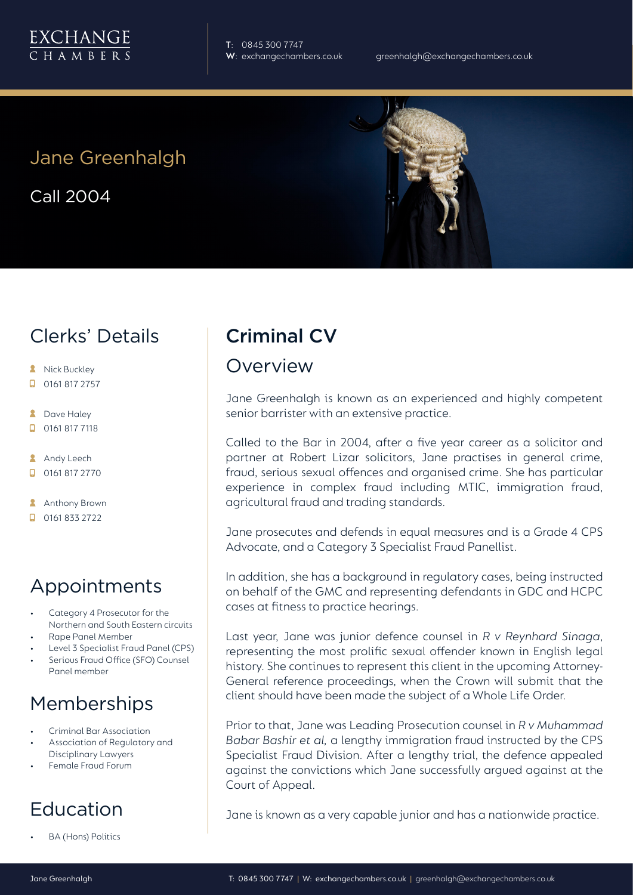

**T**: 0845 300 7747

## Jane Greenhalgh

Call 2004

## Clerks' Details

- **A** Nick Buckley
- $\Box$  0161 817 2757
- **2** Dave Haley
- $\Box$  0161 817 7118
- **Andy Leech**
- **0161 817 2770**
- **Anthony Brown**
- $\Box$  0161 833 2722

## Appointments

- Category 4 Prosecutor for the Northern and South Eastern circuits
- Rape Panel Member
- Level 3 Specialist Fraud Panel (CPS)
- Serious Fraud Office (SFO) Counsel Panel member

# Memberships

- Criminal Bar Association
- Association of Regulatory and Disciplinary Lawyers
- Female Fraud Forum

# Education

• BA (Hons) Politics

# Criminal CV

## Overview

Jane Greenhalgh is known as an experienced and highly competent senior barrister with an extensive practice.

Called to the Bar in 2004, after a five year career as a solicitor and partner at Robert Lizar solicitors, Jane practises in general crime, fraud, serious sexual offences and organised crime. She has particular experience in complex fraud including MTIC, immigration fraud, agricultural fraud and trading standards.

Jane prosecutes and defends in equal measures and is a Grade 4 CPS Advocate, and a Category 3 Specialist Fraud Panellist.

In addition, she has a background in regulatory cases, being instructed on behalf of the GMC and representing defendants in GDC and HCPC cases at fitness to practice hearings.

Last year, Jane was junior defence counsel in *R v Reynhard Sinaga*, representing the most prolific sexual offender known in English legal history. She continues to represent this client in the upcoming Attorney-General reference proceedings, when the Crown will submit that the client should have been made the subject of a Whole Life Order.

Prior to that, Jane was Leading Prosecution counsel in *R v Muhammad Babar Bashir et al,* a lengthy immigration fraud instructed by the CPS Specialist Fraud Division. After a lengthy trial, the defence appealed against the convictions which Jane successfully argued against at the Court of Appeal.

Jane is known as a very capable junior and has a nationwide practice.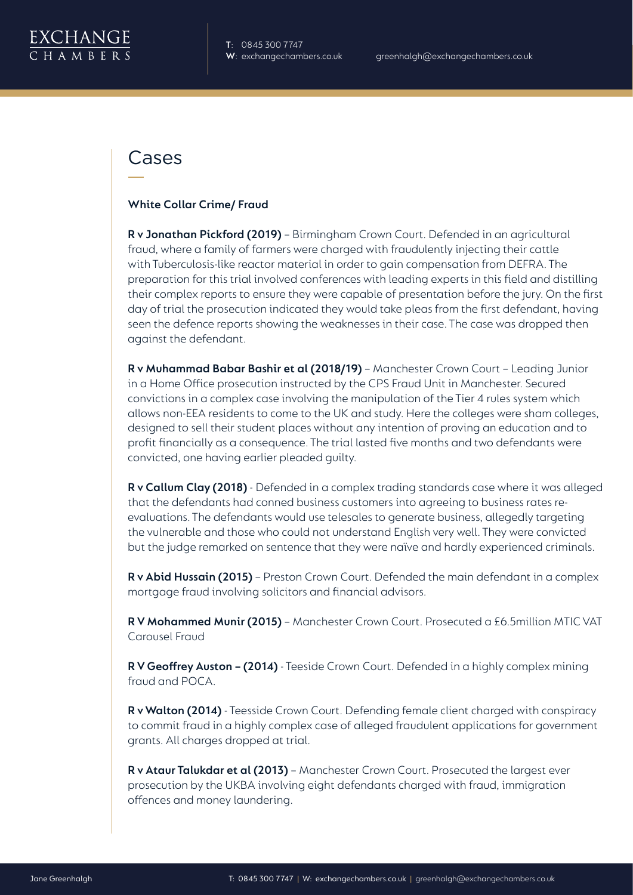

## Cases

#### **White Collar Crime/ Fraud**

**R v Jonathan Pickford (2019)** – Birmingham Crown Court. Defended in an agricultural fraud, where a family of farmers were charged with fraudulently injecting their cattle with Tuberculosis-like reactor material in order to gain compensation from DEFRA. The preparation for this trial involved conferences with leading experts in this field and distilling their complex reports to ensure they were capable of presentation before the jury. On the first day of trial the prosecution indicated they would take pleas from the first defendant, having seen the defence reports showing the weaknesses in their case. The case was dropped then against the defendant.

**R v Muhammad Babar Bashir et al (2018/19)** – Manchester Crown Court – Leading Junior in a Home Office prosecution instructed by the CPS Fraud Unit in Manchester. Secured convictions in a complex case involving the manipulation of the Tier 4 rules system which allows non-EEA residents to come to the UK and study. Here the colleges were sham colleges, designed to sell their student places without any intention of proving an education and to profit financially as a consequence. The trial lasted five months and two defendants were convicted, one having earlier pleaded guilty.

**R v Callum Clay (2018)** - Defended in a complex trading standards case where it was alleged that the defendants had conned business customers into agreeing to business rates reevaluations. The defendants would use telesales to generate business, allegedly targeting the vulnerable and those who could not understand English very well. They were convicted but the judge remarked on sentence that they were naïve and hardly experienced criminals.

**R v Abid Hussain (2015)** – Preston Crown Court. Defended the main defendant in a complex mortgage fraud involving solicitors and financial advisors.

**R V Mohammed Munir (2015)** – Manchester Crown Court. Prosecuted a £6.5million MTIC VAT Carousel Fraud

**R V Geoffrey Auston – (2014)** - Teeside Crown Court. Defended in a highly complex mining fraud and POCA.

**R v Walton (2014)** - Teesside Crown Court. Defending female client charged with conspiracy to commit fraud in a highly complex case of alleged fraudulent applications for government grants. All charges dropped at trial.

**R v Ataur Talukdar et al (2013)** – Manchester Crown Court. Prosecuted the largest ever prosecution by the UKBA involving eight defendants charged with fraud, immigration offences and money laundering.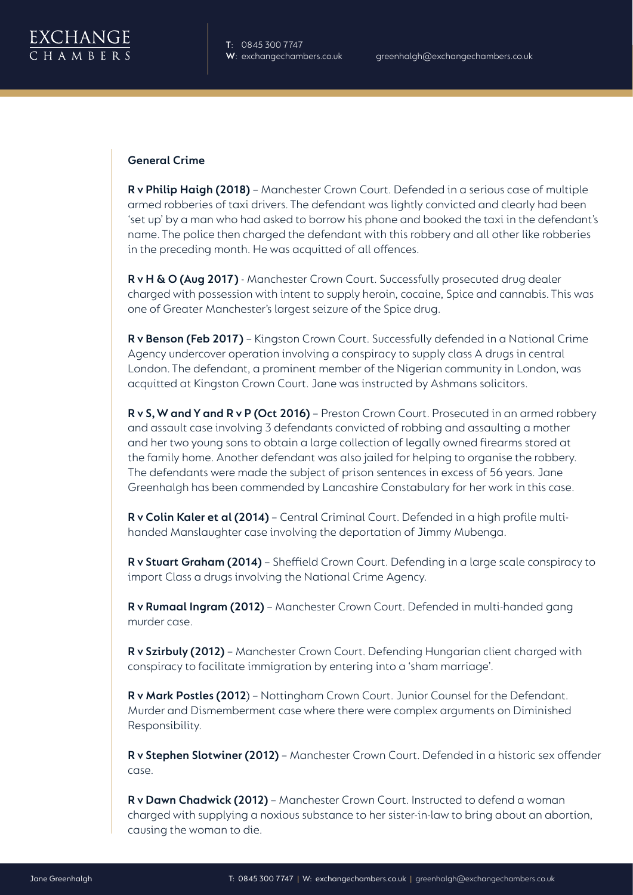

### **General Crime**

**R v Philip Haigh (2018)** – Manchester Crown Court. Defended in a serious case of multiple armed robberies of taxi drivers. The defendant was lightly convicted and clearly had been 'set up' by a man who had asked to borrow his phone and booked the taxi in the defendant's name. The police then charged the defendant with this robbery and all other like robberies in the preceding month. He was acquitted of all offences.

**R v H & O (Aug 2017)** - Manchester Crown Court. Successfully prosecuted drug dealer charged with possession with intent to supply heroin, cocaine, Spice and cannabis. This was one of Greater Manchester's largest seizure of the Spice drug.

**R v Benson (Feb 2017)** – Kingston Crown Court. Successfully defended in a National Crime Agency undercover operation involving a conspiracy to supply class A drugs in central London. The defendant, a prominent member of the Nigerian community in London, was acquitted at Kingston Crown Court. Jane was instructed by Ashmans solicitors.

**R v S, W and Y and R v P (Oct 2016)** – Preston Crown Court. Prosecuted in an armed robbery and assault case involving 3 defendants convicted of robbing and assaulting a mother and her two young sons to obtain a large collection of legally owned firearms stored at the family home. Another defendant was also jailed for helping to organise the robbery. The defendants were made the subject of prison sentences in excess of 56 years. Jane Greenhalgh has been commended by Lancashire Constabulary for her work in this case.

**R v Colin Kaler et al (2014)** – Central Criminal Court. Defended in a high profile multihanded Manslaughter case involving the deportation of Jimmy Mubenga.

**R v Stuart Graham (2014)** – Sheffield Crown Court. Defending in a large scale conspiracy to import Class a drugs involving the National Crime Agency.

**R v Rumaal Ingram (2012)** – Manchester Crown Court. Defended in multi-handed gang murder case.

**R v Szirbuly (2012)** – Manchester Crown Court. Defending Hungarian client charged with conspiracy to facilitate immigration by entering into a 'sham marriage'.

**R v Mark Postles (2012**) – Nottingham Crown Court. Junior Counsel for the Defendant. Murder and Dismemberment case where there were complex arguments on Diminished Responsibility.

**R v Stephen Slotwiner (2012)** – Manchester Crown Court. Defended in a historic sex offender case.

**R v Dawn Chadwick (2012)** – Manchester Crown Court. Instructed to defend a woman charged with supplying a noxious substance to her sister-in-law to bring about an abortion, causing the woman to die.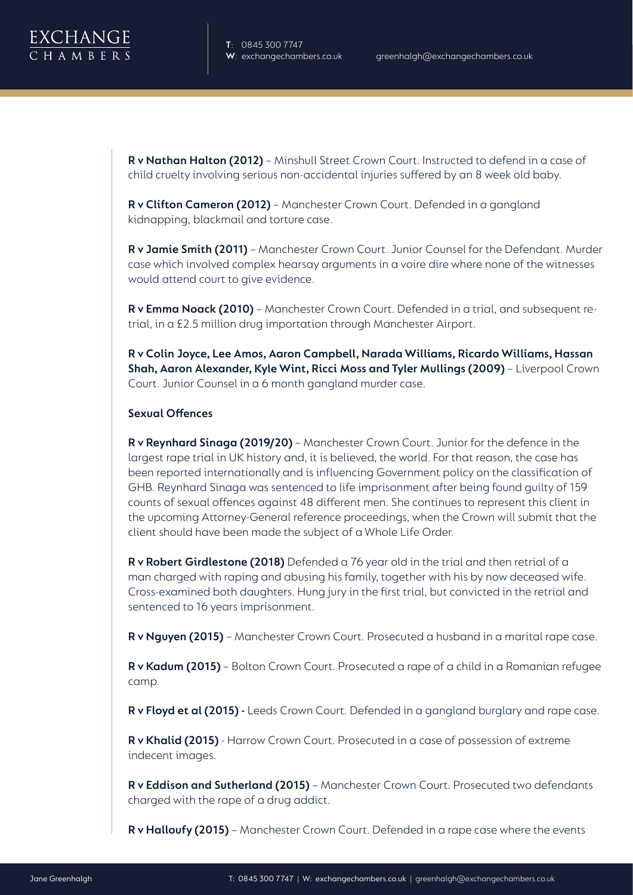

**R v Nathan Halton (2012)** – Minshull Street Crown Court. Instructed to defend in a case of child cruelty involving serious non-accidental injuries suffered by an 8 week old baby.

**R v Clifton Cameron (2012)** – Manchester Crown Court. Defended in a gangland kidnapping, blackmail and torture case.

**R v Jamie Smith (2011)** – Manchester Crown Court. Junior Counsel for the Defendant. Murder case which involved complex hearsay arguments in a voire dire where none of the witnesses would attend court to give evidence.

**R v Emma Noack (2010)** – Manchester Crown Court. Defended in a trial, and subsequent retrial, in a £2.5 million drug importation through Manchester Airport.

**R v Colin Joyce, Lee Amos, Aaron Campbell, Narada Williams, Ricardo Williams, Hassan Shah, Aaron Alexander, Kyle Wint, Ricci Moss and Tyler Mullings (2009)** – Liverpool Crown Court. Junior Counsel in a 6 month gangland murder case.

### **Sexual Offences**

**R v Reynhard Sinaga (2019/20)** – Manchester Crown Court. Junior for the defence in the largest rape trial in UK history and, it is believed, the world. For that reason, the case has been reported internationally and is influencing Government policy on the classification of GHB. Reynhard Sinaga was sentenced to life imprisonment after being found guilty of 159 counts of sexual offences against 48 different men. She continues to represent this client in the upcoming Attorney-General reference proceedings, when the Crown will submit that the client should have been made the subject of a Whole Life Order.

**R v Robert Girdlestone (2018)** Defended a 76 year old in the trial and then retrial of a man charged with raping and abusing his family, together with his by now deceased wife. Cross-examined both daughters. Hung jury in the first trial, but convicted in the retrial and sentenced to 16 years imprisonment.

**R v Nguyen (2015)** – Manchester Crown Court. Prosecuted a husband in a marital rape case.

**R v Kadum (2015)** – Bolton Crown Court. Prosecuted a rape of a child in a Romanian refugee camp.

**R v Floyd et al (2015) -** Leeds Crown Court. Defended in a gangland burglary and rape case.

**R v Khalid (2015)** - Harrow Crown Court. Prosecuted in a case of possession of extreme indecent images.

**R v Eddison and Sutherland (2015)** – Manchester Crown Court. Prosecuted two defendants charged with the rape of a drug addict.

**R v Halloufy (2015)** – Manchester Crown Court. Defended in a rape case where the events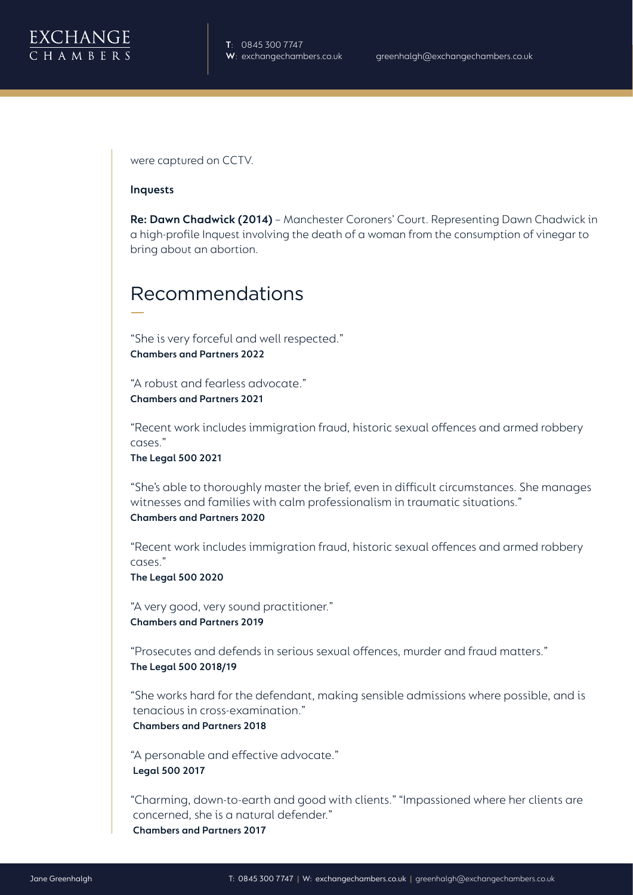were captured on CCTV.

#### **Inquests**

**Re: Dawn Chadwick (2014)** – Manchester Coroners' Court. Representing Dawn Chadwick in a high-profile Inquest involving the death of a woman from the consumption of vinegar to bring about an abortion.

## Recommendations

"She is very forceful and well respected." **Chambers and Partners 2022**

"A robust and fearless advocate." **Chambers and Partners 2021**

"Recent work includes immigration fraud, historic sexual offences and armed robbery cases."

**The Legal 500 2021**

"She's able to thoroughly master the brief, even in difficult circumstances. She manages witnesses and families with calm professionalism in traumatic situations."

**Chambers and Partners 2020**

"Recent work includes immigration fraud, historic sexual offences and armed robbery cases."

**The Legal 500 2020**

"A very good, very sound practitioner." **Chambers and Partners 2019**

"Prosecutes and defends in serious sexual offences, murder and fraud matters." **The Legal 500 2018/19** 

"She works hard for the defendant, making sensible admissions where possible, and is tenacious in cross-examination."

**Chambers and Partners 2018**

"A personable and effective advocate." **Legal 500 2017**

"Charming, down-to-earth and good with clients." "Impassioned where her clients are concerned, she is a natural defender." **Chambers and Partners 2017**